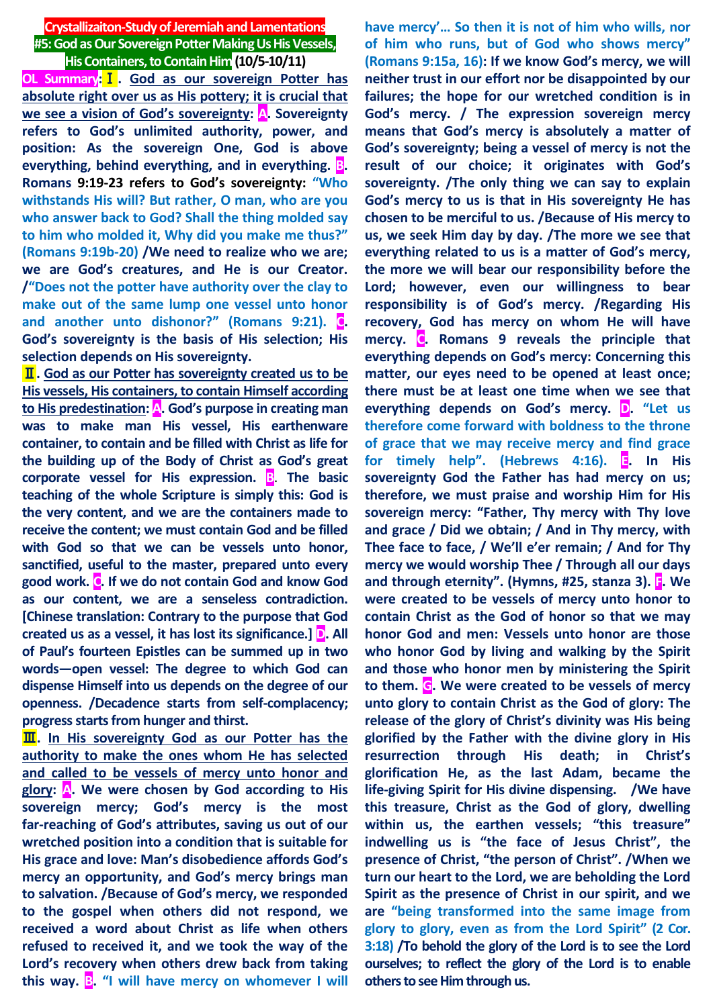# **Crystallizaiton-Study of Jeremiah and Lamentations #5: God as Our Sovereign Potter Making Us His Vessels, His Containers, to Contain Him(10/5-10/11)**

**OL Summary:**Ⅰ**. God as our sovereign Potter has absolute right over us as His pottery; it is crucial that we see a vision of God's sovereignty: A. Sovereignty refers to God's unlimited authority, power, and position: As the sovereign One, God is above everything, behind everything, and in everything. B. Romans 9:19-23 refers to God's sovereignty: "Who withstands His will? But rather, O man, who are you who answer back to God? Shall the thing molded say to him who molded it, Why did you make me thus?" (Romans 9:19b-20) /We need to realize who we are; we are God's creatures, and He is our Creator. /"Does not the potter have authority over the clay to make out of the same lump one vessel unto honor and another unto dishonor?" (Romans 9:21). C. God's sovereignty is the basis of His selection; His selection depends on His sovereignty.**

Ⅱ**. God as our Potter has sovereignty created us to be His vessels, His containers, to contain Himself according to His predestination: A. God's purpose in creating man was to make man His vessel, His earthenware container, to contain and be filled with Christ as life for the building up of the Body of Christ as God's great corporate vessel for His expression. B**. **The basic teaching of the whole Scripture is simply this: God is the very content, and we are the containers made to receive the content; we must contain God and be filled with God so that we can be vessels unto honor, sanctified, useful to the master, prepared unto every good work. C. If we do not contain God and know God as our content, we are a senseless contradiction. [Chinese translation: Contrary to the purpose that God created us as a vessel, it has lost its significance.] D. All of Paul's fourteen Epistles can be summed up in two words—open vessel: The degree to which God can dispense Himself into us depends on the degree of our openness. /Decadence starts from self-complacency; progress starts from hunger and thirst.**

**III.** In His sovereignty God as our Potter has the **authority to make the ones whom He has selected and called to be vessels of mercy unto honor and glory: A. We were chosen by God according to His sovereign mercy; God's mercy is the most far-reaching of God's attributes, saving us out of our wretched position into a condition that is suitable for His grace and love: Man's disobedience affords God's mercy an opportunity, and God's mercy brings man to salvation. /Because of God's mercy, we responded to the gospel when others did not respond, we received a word about Christ as life when others refused to received it, and we took the way of the Lord's recovery when others drew back from taking this way. B. "I will have mercy on whomever I will** 

**have mercy'… So then it is not of him who wills, nor of him who runs, but of God who shows mercy" (Romans 9:15a, 16): If we know God's mercy, we will neither trust in our effort nor be disappointed by our failures; the hope for our wretched condition is in God's mercy. / The expression sovereign mercy means that God's mercy is absolutely a matter of God's sovereignty; being a vessel of mercy is not the result of our choice; it originates with God's sovereignty. /The only thing we can say to explain God's mercy to us is that in His sovereignty He has chosen to be merciful to us. /Because of His mercy to us, we seek Him day by day. /The more we see that everything related to us is a matter of God's mercy, the more we will bear our responsibility before the Lord; however, even our willingness to bear responsibility is of God's mercy. /Regarding His recovery, God has mercy on whom He will have mercy. C. Romans 9 reveals the principle that everything depends on God's mercy: Concerning this matter, our eyes need to be opened at least once; there must be at least one time when we see that everything depends on God's mercy. D. "Let us therefore come forward with boldness to the throne of grace that we may receive mercy and find grace for timely help". (Hebrews 4:16). E. In His sovereignty God the Father has had mercy on us; therefore, we must praise and worship Him for His sovereign mercy: "Father, Thy mercy with Thy love and grace / Did we obtain; / And in Thy mercy, with Thee face to face, / We'll e'er remain; / And for Thy mercy we would worship Thee / Through all our days and through eternity". (Hymns, #25, stanza 3). F. We were created to be vessels of mercy unto honor to contain Christ as the God of honor so that we may honor God and men: Vessels unto honor are those who honor God by living and walking by the Spirit and those who honor men by ministering the Spirit to them. G. We were created to be vessels of mercy unto glory to contain Christ as the God of glory: The release of the glory of Christ's divinity was His being glorified by the Father with the divine glory in His resurrection through His death; in Christ's glorification He, as the last Adam, became the life-giving Spirit for His divine dispensing. /We have this treasure, Christ as the God of glory, dwelling within us, the earthen vessels; "this treasure" indwelling us is "the face of Jesus Christ", the presence of Christ, "the person of Christ". /When we turn our heart to the Lord, we are beholding the Lord Spirit as the presence of Christ in our spirit, and we are "being transformed into the same image from glory to glory, even as from the Lord Spirit" (2 Cor. 3:18) /To behold the glory of the Lord is to see the Lord ourselves; to reflect the glory of the Lord is to enable others to see Him through us.**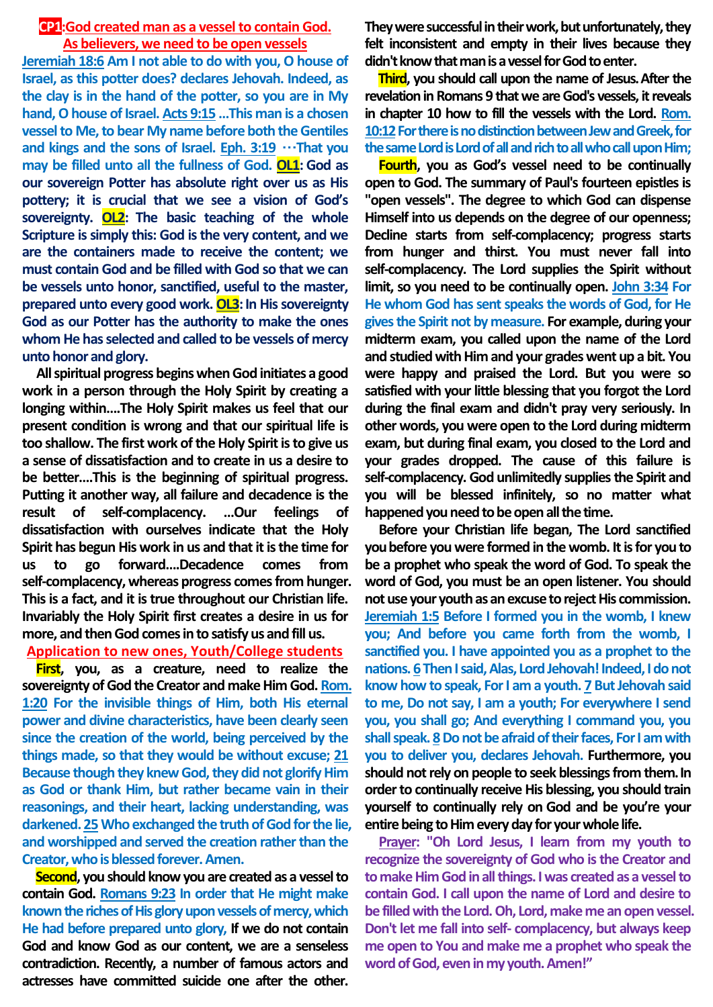## **CP1:God created man as a vessel to contain God. As believers, we need to be open vessels**

**Jeremiah 18:6 Am I not able to do with you, O house of Israel, as this potter does? declares Jehovah. Indeed, as the clay is in the hand of the potter, so you are in My hand, O house of Israel. Acts 9:15 …This man is a chosen vessel to Me, to bear My name before both the Gentiles and kings and the sons of Israel. Eph. 3:19** …**That you may be filled unto all the fullness of God. OL1: God as our sovereign Potter has absolute right over us as His pottery; it is crucial that we see a vision of God's sovereignty. OL2: The basic teaching of the whole Scripture is simply this: God is the very content, and we are the containers made to receive the content; we must contain God and be filled with God so that we can be vessels unto honor, sanctified, useful to the master, prepared unto every good work. OL3: In His sovereignty God as our Potter has the authority to make the ones whom He has selected and called to be vessels of mercy unto honor and glory.**

**All spiritual progress begins when God initiates a good work in a person through the Holy Spirit by creating a longing within….The Holy Spirit makes us feel that our present condition is wrong and that our spiritual life is too shallow. The first work of the Holy Spirit is to give us a sense of dissatisfaction and to create in us a desire to be better….This is the beginning of spiritual progress. Putting it another way, all failure and decadence is the result of self-complacency. …Our feelings of dissatisfaction with ourselves indicate that the Holy Spirit has begun His work in us and that it is the time for us to go forward….Decadence comes from self-complacency, whereas progress comes from hunger. This is a fact, and it is true throughout our Christian life. Invariably the Holy Spirit first creates a desire in us for more, and then God comes in to satisfy us and fill us.**

## **Application to new ones, Youth/College students**

**First, you, as a creature, need to realize the sovereignty of God the Creator and make Him God. Rom. 1:20 For the invisible things of Him, both His eternal power and divine characteristics, have been clearly seen since the creation of the world, being perceived by the things made, so that they would be without excuse; 21 Because though they knew God, they did not glorify Him as God or thank Him, but rather became vain in their reasonings, and their heart, lacking understanding, was darkened. 25Who exchanged the truth of God for the lie, and worshipped and served the creation rather than the Creator, who is blessed forever. Amen.**

**Second, you should know you are created as a vessel to contain God. Romans 9:23 In order that He might make known the riches of His glory upon vessels of mercy, which He had before prepared unto glory, If we do not contain God and know God as our content, we are a senseless contradiction. Recently, a number of famous actors and actresses have committed suicide one after the other.** 

**They were successful in their work, but unfortunately, they felt inconsistent and empty in their lives because they didn't know that man is a vessel for God to enter.** 

**Third, you should call upon the name of Jesus.After the revelation in Romans 9 that we are God's vessels, it reveals in chapter 10 how to fill the vessels with the Lord. Rom. 10:12For there is no distinction between Jew and Greek, for the same Lord is Lord of all and rich to all who call upon Him;**

**Fourth, you as God's vessel need to be continually open to God. The summary of Paul's fourteen epistles is "open vessels". The degree to which God can dispense Himself into us depends on the degree of our openness; Decline starts from self-complacency; progress starts from hunger and thirst. You must never fall into self-complacency. The Lord supplies the Spirit without limit, so you need to be continually open. John 3:34 For He whom God has sent speaks the words of God, for He gives the Spirit not by measure. For example, during your midterm exam, you called upon the name of the Lord and studied with Him and your grades went up a bit. You were happy and praised the Lord. But you were so satisfied with your little blessing that you forgot the Lord during the final exam and didn't pray very seriously. In other words, you were open to the Lord during midterm exam, but during final exam, you closed to the Lord and your grades dropped. The cause of this failure is self-complacency. God unlimitedly supplies the Spirit and you will be blessed infinitely, so no matter what happened you need to be open all the time.** 

**Before your Christian life began, The Lord sanctified youbefore you were formed in the womb. It is for you to be a prophet who speak the word of God. To speak the word of God, you must be an open listener. You should not use your youth as an excuse to reject His commission. Jeremiah 1:5 Before I formed you in the womb, I knew you; And before you came forth from the womb, I sanctified you. I have appointed you as a prophet to the nations. 6Then I said, Alas, Lord Jehovah! Indeed, I do not know how to speak, For I am a youth. 7 But Jehovah said to me, Do not say, I am a youth; For everywhere I send you, you shall go; And everything I command you, you shall speak. 8Do not be afraid of their faces, For I am with you to deliver you, declares Jehovah. Furthermore, you should not rely on people to seek blessings from them.In order to continually receive His blessing, you should train yourself to continually rely on God and be you're your entire being to Him every day for your whole life.**

**Prayer: "Oh Lord Jesus, I learn from my youth to recognize the sovereignty of God who is the Creator and to make Him God in all things. I was created as a vessel to contain God. I call upon the name of Lord and desire to be filled with the Lord. Oh, Lord, make me an open vessel. Don't let me fall into self- complacency, but always keep me open to You and make me a prophet who speak the word of God, even in my youth. Amen!"**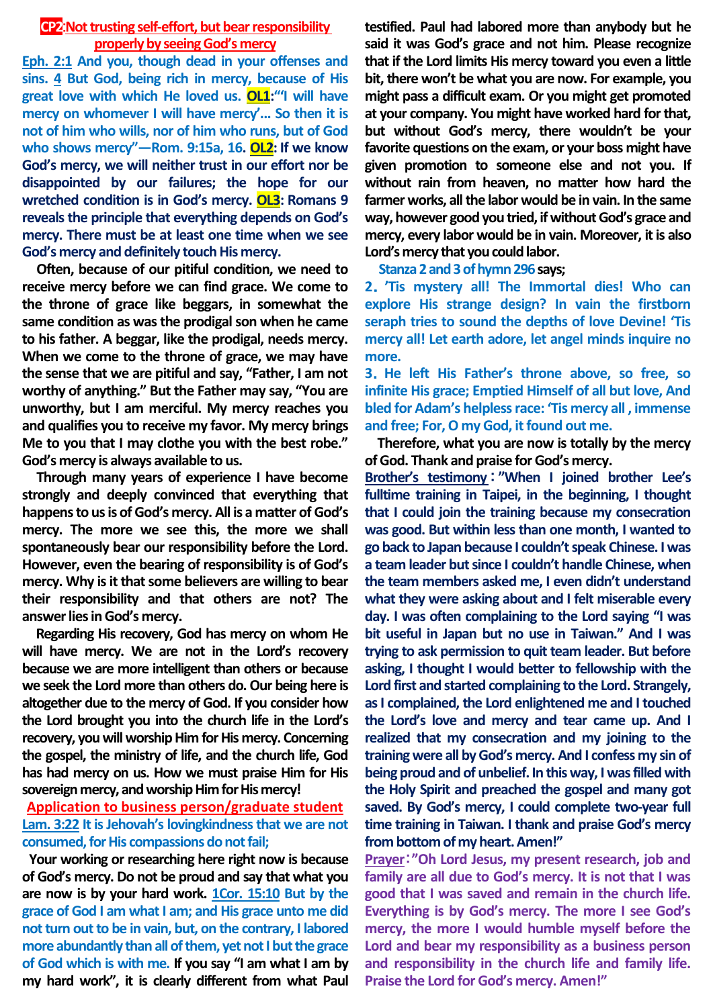## **CP2: Not trusting self-effort, but bear responsibility properly by seeing God's mercy**

**Eph. 2:1 And you, though dead in your offenses and sins. 4 But God, being rich in mercy, because of His great love with which He loved us. OL1:"'I will have mercy on whomever I will have mercy'... So then it is not of him who wills, nor of him who runs, but of God who shows mercy"—Rom. 9:15a, 16. OL2: If we know God's mercy, we will neither trust in our effort nor be disappointed by our failures; the hope for our wretched condition is in God's mercy. OL3: Romans 9 reveals the principle that everything depends on God's mercy. There must be at least one time when we see God's mercy and definitely touch His mercy.** 

**Often, because of our pitiful condition, we need to receive mercy before we can find grace. We come to the throne of grace like beggars, in somewhat the same condition as was the prodigal son when he came to his father. A beggar, like the prodigal, needs mercy. When we come to the throne of grace, we may have the sense that we are pitiful and say, "Father, I am not worthy of anything." But the Father may say, "You are unworthy, but I am merciful. My mercy reaches you and qualifies you to receive my favor. My mercy brings Me to you that I may clothe you with the best robe." God's mercy is always available to us.**

**Through many years of experience I have become strongly and deeply convinced that everything that happens to us is of God's mercy. All is a matter of God's mercy. The more we see this, the more we shall spontaneously bear our responsibility before the Lord. However, even the bearing of responsibility is of God's mercy. Why is it that some believers are willing to bear their responsibility and that others are not? The answer lies in God's mercy.** 

**Regarding His recovery, God has mercy on whom He will have mercy. We are not in the Lord's recovery because we are more intelligent than others or because we seek the Lord more than others do. Our being here is altogether due to the mercy of God. If you consider how the Lord brought you into the church life in the Lord's recovery, you will worship Him for His mercy. Concerning the gospel, the ministry of life, and the church life, God has had mercy on us. How we must praise Him for His sovereign mercy, and worship Him for His mercy!**

## **Application to business person/graduate student Lam. 3:22 It is Jehovah's lovingkindness that we are not consumed, for His compassions do not fail;**

**Your working or researching here right now is because of God's mercy. Do not be proud and say that what you are now is by your hard work. 1Cor. 15:10 But by the grace of God I am what I am; and His grace unto me did not turn out to be in vain, but, on the contrary, I labored more abundantly than all of them, yet not I but the grace of God which is with me. If you say "I am what I am by my hard work", it is clearly different from what Paul** 

**testified. Paul had labored more than anybody but he said it was God's grace and not him. Please recognize that if the Lord limits His mercy toward you even a little bit, there won't be what you are now. For example, you might pass a difficult exam. Or you might get promoted at your company. You might have worked hard for that, but without God's mercy, there wouldn't be your favorite questions on the exam, or your boss might have given promotion to someone else and not you. If without rain from heaven, no matter how hard the farmer works, all the labor would be in vain. In the same way, however good you tried, if without God's grace and mercy, every labor would be in vain. Moreover, it is also Lord's mercy that you could labor.** 

### **Stanza 2 and 3 of hymn 296says;**

**2**.**'Tis mystery all! The Immortal dies! Who can explore His strange design? In vain the firstborn seraph tries to sound the depths of love Devine! 'Tis mercy all! Let earth adore, let angel minds inquire no more.** 

**3**.**He left His Father's throne above, so free, so infinite His grace; Emptied Himself of all but love, And bled for Adam's helpless race: 'Tis mercy all , immense and free; For, O my God, it found out me.**

**Therefore, what you are now is totally by the mercy of God. Thank and praise for God's mercy.** 

**Brother's testimony**:**"When I joined brother Lee's fulltime training in Taipei, in the beginning, I thought that I could join the training because my consecration was good. But within less than one month, I wanted to go back to Japan because I couldn't speak Chinese. I was a team leader but since I couldn't handle Chinese, when the team members asked me, I even didn't understand what they were asking about and I felt miserable every day. I was often complaining to the Lord saying "I was bit useful in Japan but no use in Taiwan." And I was trying to ask permission to quit team leader. But before asking, I thought I would better to fellowship with the Lord first and started complaining to the Lord. Strangely, as I complained, the Lord enlightened me and I touched the Lord's love and mercy and tear came up. And I realized that my consecration and my joining to the training were all by God's mercy. And I confess my sin of being proud and of unbelief. In this way, I was filled with the Holy Spirit and preached the gospel and many got saved. By God's mercy, I could complete two-year full time training in Taiwan. I thank and praise God's mercy from bottom of my heart. Amen!"** 

**Prayer**:**"Oh Lord Jesus, my present research, job and family are all due to God's mercy. It is not that I was good that I was saved and remain in the church life. Everything is by God's mercy. The more I see God's mercy, the more I would humble myself before the Lord and bear my responsibility as a business person and responsibility in the church life and family life. Praise the Lord for God's mercy. Amen!"**